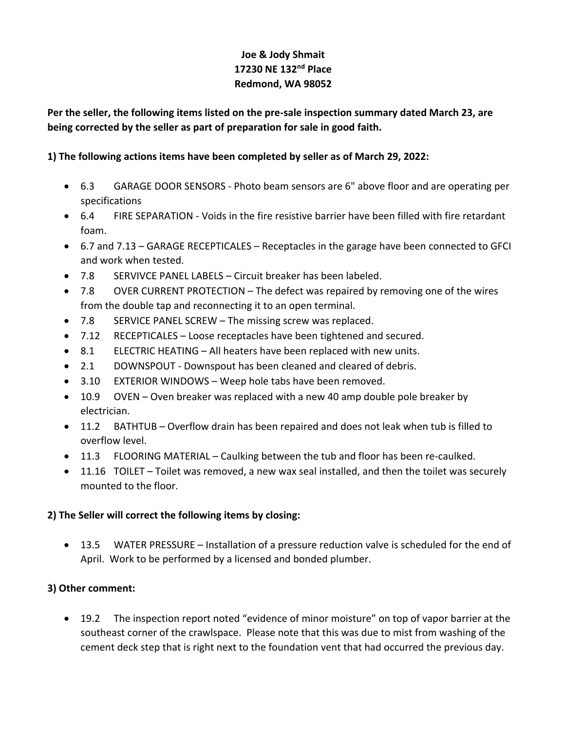# **Joe & Jody Shmait 17230 NE 132nd Place Redmond, WA 98052**

**Per the seller, the following items listed on the pre-sale inspection summary dated March 23, are being corrected by the seller as part of preparation for sale in good faith.**

## **1) The following actions items have been completed by seller as of March 29, 2022:**

- 6.3 GARAGE DOOR SENSORS Photo beam sensors are 6" above floor and are operating per specifications
- 6.4 FIRE SEPARATION Voids in the fire resistive barrier have been filled with fire retardant foam.
- 6.7 and 7.13 GARAGE RECEPTICALES Receptacles in the garage have been connected to GFCI and work when tested.
- 7.8 SERVIVCE PANEL LABELS Circuit breaker has been labeled.
- 7.8 OVER CURRENT PROTECTION The defect was repaired by removing one of the wires from the double tap and reconnecting it to an open terminal.
- 7.8 SERVICE PANEL SCREW The missing screw was replaced.
- 7.12 RECEPTICALES Loose receptacles have been tightened and secured.
- 8.1 ELECTRIC HEATING All heaters have been replaced with new units.
- 2.1 DOWNSPOUT Downspout has been cleaned and cleared of debris.
- 3.10 EXTERIOR WINDOWS Weep hole tabs have been removed.
- 10.9 OVEN Oven breaker was replaced with a new 40 amp double pole breaker by electrician.
- 11.2 BATHTUB Overflow drain has been repaired and does not leak when tub is filled to overflow level.
- 11.3 FLOORING MATERIAL Caulking between the tub and floor has been re-caulked.
- 11.16 TOILET Toilet was removed, a new wax seal installed, and then the toilet was securely mounted to the floor.

### **2) The Seller will correct the following items by closing:**

• 13.5 WATER PRESSURE – Installation of a pressure reduction valve is scheduled for the end of April. Work to be performed by a licensed and bonded plumber.

## **3) Other comment:**

• 19.2 The inspection report noted "evidence of minor moisture" on top of vapor barrier at the southeast corner of the crawlspace. Please note that this was due to mist from washing of the cement deck step that is right next to the foundation vent that had occurred the previous day.